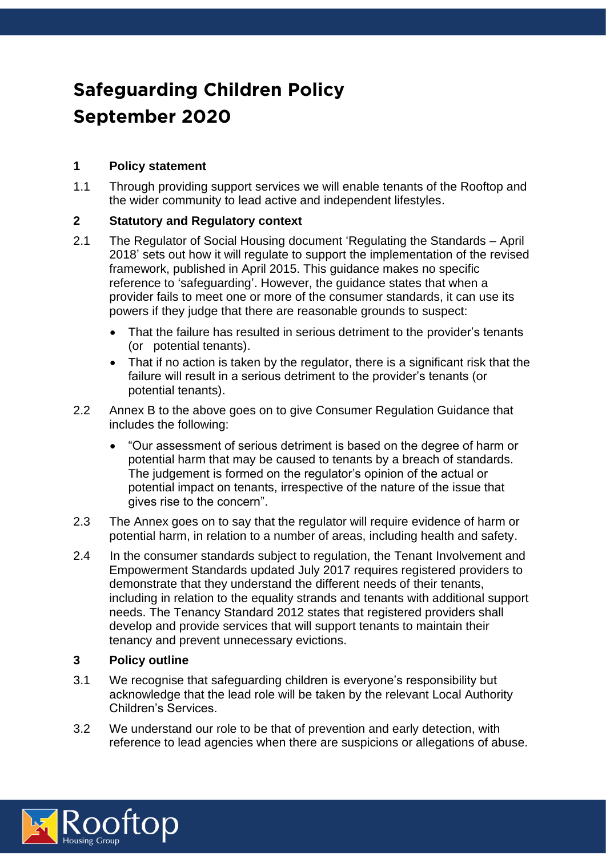# **Safeguarding Children Policy September 2020**

# **1 Policy statement**

1.1 Through providing support services we will enable tenants of the Rooftop and the wider community to lead active and independent lifestyles.

# **2 Statutory and Regulatory context**

- 2.1 The Regulator of Social Housing document 'Regulating the Standards April 2018' sets out how it will regulate to support the implementation of the revised framework, published in April 2015. This guidance makes no specific reference to 'safeguarding'. However, the guidance states that when a provider fails to meet one or more of the consumer standards, it can use its powers if they judge that there are reasonable grounds to suspect:
	- That the failure has resulted in serious detriment to the provider's tenants (or potential tenants).
	- That if no action is taken by the regulator, there is a significant risk that the failure will result in a serious detriment to the provider's tenants (or potential tenants).
- 2.2 Annex B to the above goes on to give Consumer Regulation Guidance that includes the following:
	- "Our assessment of serious detriment is based on the degree of harm or potential harm that may be caused to tenants by a breach of standards. The judgement is formed on the regulator's opinion of the actual or potential impact on tenants, irrespective of the nature of the issue that gives rise to the concern".
- 2.3 The Annex goes on to say that the regulator will require evidence of harm or potential harm, in relation to a number of areas, including health and safety.
- 2.4 In the consumer standards subject to regulation, the Tenant Involvement and Empowerment Standards updated July 2017 requires registered providers to demonstrate that they understand the different needs of their tenants, including in relation to the equality strands and tenants with additional support needs. The Tenancy Standard 2012 states that registered providers shall develop and provide services that will support tenants to maintain their tenancy and prevent unnecessary evictions.

# **3 Policy outline**

- 3.1 We recognise that safeguarding children is everyone's responsibility but acknowledge that the lead role will be taken by the relevant Local Authority Children's Services.
- 3.2 We understand our role to be that of prevention and early detection, with reference to lead agencies when there are suspicions or allegations of abuse.

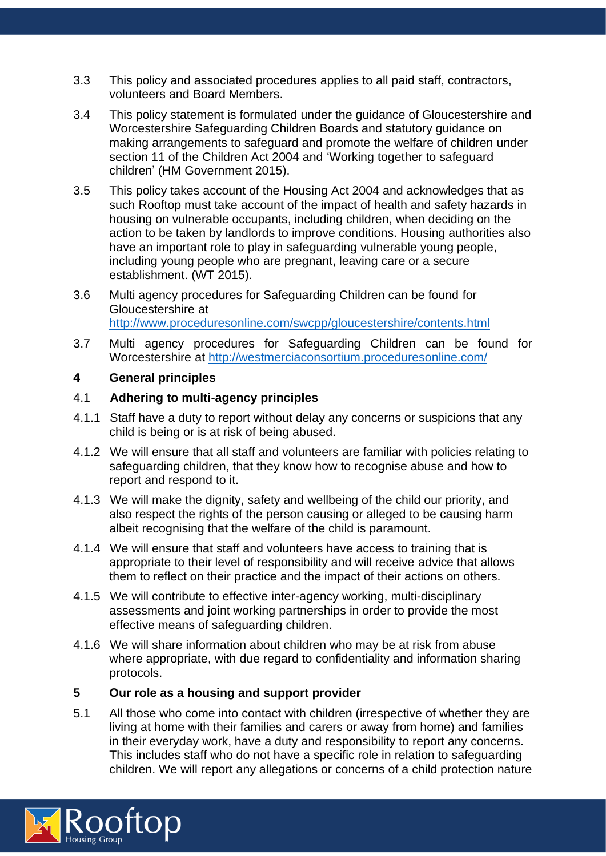- 3.3 This policy and associated procedures applies to all paid staff, contractors, volunteers and Board Members.
- 3.4 This policy statement is formulated under the guidance of Gloucestershire and Worcestershire Safeguarding Children Boards and statutory guidance on making arrangements to safeguard and promote the welfare of children under section 11 of the Children Act 2004 and 'Working together to safeguard children' (HM Government 2015).
- 3.5 This policy takes account of the Housing Act 2004 and acknowledges that as such Rooftop must take account of the impact of health and safety hazards in housing on vulnerable occupants, including children, when deciding on the action to be taken by landlords to improve conditions. Housing authorities also have an important role to play in safeguarding vulnerable young people, including young people who are pregnant, leaving care or a secure establishment. (WT 2015).
- 3.6 Multi agency procedures for Safeguarding Children can be found for Gloucestershire at <http://www.proceduresonline.com/swcpp/gloucestershire/contents.html>
- 3.7 Multi agency procedures for Safeguarding Children can be found for Worcestershire at <http://westmerciaconsortium.proceduresonline.com/>

# **4 General principles**

# 4.1 **Adhering to multi-agency principles**

- 4.1.1 Staff have a duty to report without delay any concerns or suspicions that any child is being or is at risk of being abused.
- 4.1.2 We will ensure that all staff and volunteers are familiar with policies relating to safeguarding children, that they know how to recognise abuse and how to report and respond to it.
- 4.1.3 We will make the dignity, safety and wellbeing of the child our priority, and also respect the rights of the person causing or alleged to be causing harm albeit recognising that the welfare of the child is paramount.
- 4.1.4 We will ensure that staff and volunteers have access to training that is appropriate to their level of responsibility and will receive advice that allows them to reflect on their practice and the impact of their actions on others.
- 4.1.5 We will contribute to effective inter-agency working, multi-disciplinary assessments and joint working partnerships in order to provide the most effective means of safeguarding children.
- 4.1.6 We will share information about children who may be at risk from abuse where appropriate, with due regard to confidentiality and information sharing protocols.

# **5 Our role as a housing and support provider**

5.1 All those who come into contact with children (irrespective of whether they are living at home with their families and carers or away from home) and families in their everyday work, have a duty and responsibility to report any concerns. This includes staff who do not have a specific role in relation to safeguarding children. We will report any allegations or concerns of a child protection nature

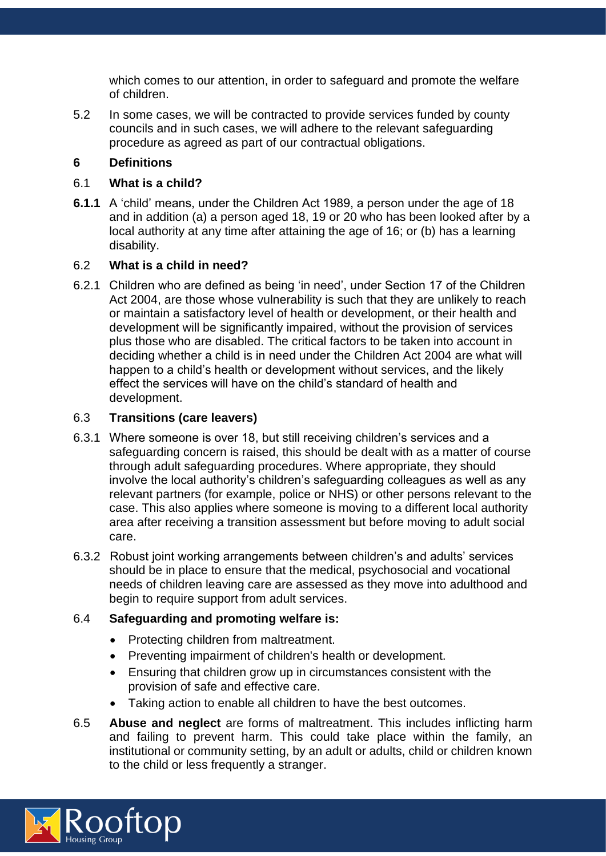which comes to our attention, in order to safeguard and promote the welfare of children.

5.2 In some cases, we will be contracted to provide services funded by county councils and in such cases, we will adhere to the relevant safeguarding procedure as agreed as part of our contractual obligations.

# **6 Definitions**

# 6.1 **What is a child?**

**6.1.1** A 'child' means, under the Children Act 1989, a person under the age of 18 and in addition (a) a person aged 18, 19 or 20 who has been looked after by a local authority at any time after attaining the age of 16; or (b) has a learning disability.

# 6.2 **What is a child in need?**

6.2.1 Children who are defined as being 'in need', under Section 17 of the Children Act 2004, are those whose vulnerability is such that they are unlikely to reach or maintain a satisfactory level of health or development, or their health and development will be significantly impaired, without the provision of services plus those who are disabled. The critical factors to be taken into account in deciding whether a child is in need under the Children Act 2004 are what will happen to a child's health or development without services, and the likely effect the services will have on the child's standard of health and development.

# 6.3 **Transitions (care leavers)**

- 6.3.1 Where someone is over 18, but still receiving children's services and a safeguarding concern is raised, this should be dealt with as a matter of course through adult safeguarding procedures. Where appropriate, they should involve the local authority's children's safeguarding colleagues as well as any relevant partners (for example, police or NHS) or other persons relevant to the case. This also applies where someone is moving to a different local authority area after receiving a transition assessment but before moving to adult social care.
- 6.3.2 Robust joint working arrangements between children's and adults' services should be in place to ensure that the medical, psychosocial and vocational needs of children leaving care are assessed as they move into adulthood and begin to require support from adult services.

# 6.4 **Safeguarding and promoting welfare is:**

- Protecting children from maltreatment.
- Preventing impairment of children's health or development.
- Ensuring that children grow up in circumstances consistent with the provision of safe and effective care.
- Taking action to enable all children to have the best outcomes.
- 6.5 **Abuse and neglect** are forms of maltreatment. This includes inflicting harm and failing to prevent harm. This could take place within the family, an institutional or community setting, by an adult or adults, child or children known to the child or less frequently a stranger.

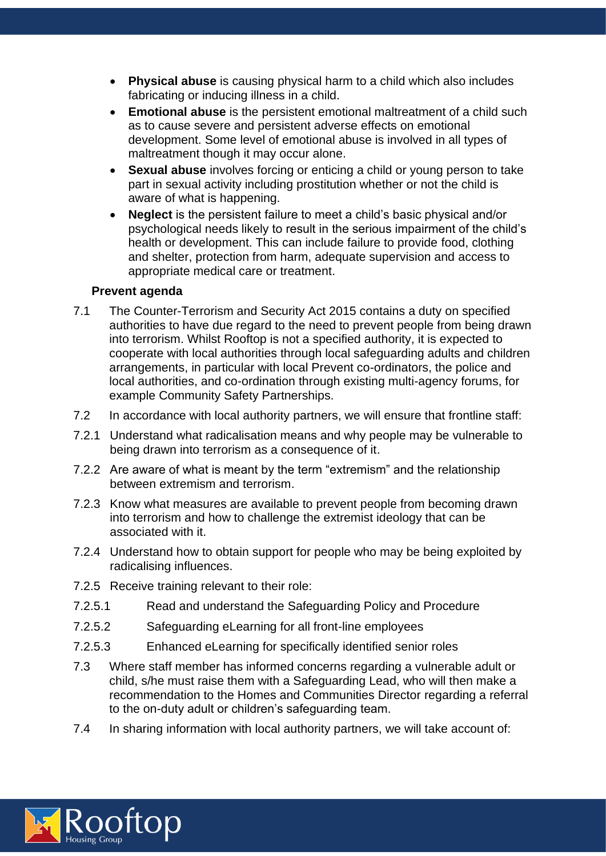- **Physical abuse** is causing physical harm to a child which also includes fabricating or inducing illness in a child.
- **Emotional abuse** is the persistent emotional maltreatment of a child such as to cause severe and persistent adverse effects on emotional development. Some level of emotional abuse is involved in all types of maltreatment though it may occur alone.
- **Sexual abuse** involves forcing or enticing a child or young person to take part in sexual activity including prostitution whether or not the child is aware of what is happening.
- **Neglect** is the persistent failure to meet a child's basic physical and/or psychological needs likely to result in the serious impairment of the child's health or development. This can include failure to provide food, clothing and shelter, protection from harm, adequate supervision and access to appropriate medical care or treatment.

## **7 Prevent agenda**

- 7.1 The Counter-Terrorism and Security Act 2015 contains a duty on specified authorities to have due regard to the need to prevent people from being drawn into terrorism. Whilst Rooftop is not a specified authority, it is expected to cooperate with local authorities through local safeguarding adults and children arrangements, in particular with local Prevent co-ordinators, the police and local authorities, and co-ordination through existing multi-agency forums, for example Community Safety Partnerships.
- 7.2 In accordance with local authority partners, we will ensure that frontline staff:
- 7.2.1 Understand what radicalisation means and why people may be vulnerable to being drawn into terrorism as a consequence of it.
- 7.2.2 Are aware of what is meant by the term "extremism" and the relationship between extremism and terrorism.
- 7.2.3 Know what measures are available to prevent people from becoming drawn into terrorism and how to challenge the extremist ideology that can be associated with it.
- 7.2.4 Understand how to obtain support for people who may be being exploited by radicalising influences.
- 7.2.5 Receive training relevant to their role:
- 7.2.5.1 Read and understand the Safeguarding Policy and Procedure
- 7.2.5.2 Safeguarding eLearning for all front-line employees
- 7.2.5.3 Enhanced eLearning for specifically identified senior roles
- 7.3 Where staff member has informed concerns regarding a vulnerable adult or child, s/he must raise them with a Safeguarding Lead, who will then make a recommendation to the Homes and Communities Director regarding a referral to the on-duty adult or children's safeguarding team.
- 7.4 In sharing information with local authority partners, we will take account of:

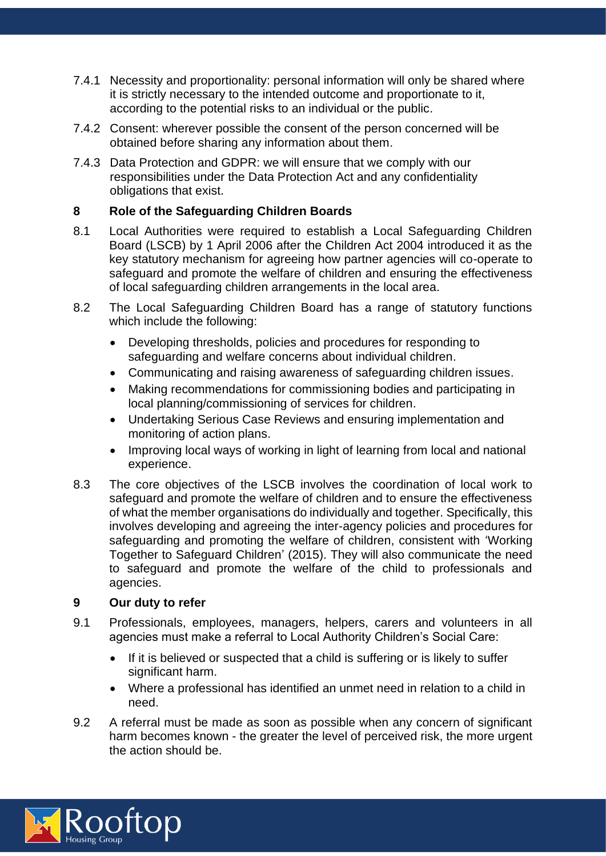- 7.4.1 Necessity and proportionality: personal information will only be shared where it is strictly necessary to the intended outcome and proportionate to it, according to the potential risks to an individual or the public.
- 7.4.2 Consent: wherever possible the consent of the person concerned will be obtained before sharing any information about them.
- 7.4.3 Data Protection and GDPR: we will ensure that we comply with our responsibilities under the Data Protection Act and any confidentiality obligations that exist.

# **8 Role of the Safeguarding Children Boards**

- 8.1 Local Authorities were required to establish a Local Safeguarding Children Board (LSCB) by 1 April 2006 after the Children Act 2004 introduced it as the key statutory mechanism for agreeing how partner agencies will co-operate to safeguard and promote the welfare of children and ensuring the effectiveness of local safeguarding children arrangements in the local area.
- 8.2 The Local Safeguarding Children Board has a range of statutory functions which include the following:
	- Developing thresholds, policies and procedures for responding to safeguarding and welfare concerns about individual children.
	- Communicating and raising awareness of safeguarding children issues.
	- Making recommendations for commissioning bodies and participating in local planning/commissioning of services for children.
	- Undertaking Serious Case Reviews and ensuring implementation and monitoring of action plans.
	- Improving local ways of working in light of learning from local and national experience.
- 8.3 The core objectives of the LSCB involves the coordination of local work to safeguard and promote the welfare of children and to ensure the effectiveness of what the member organisations do individually and together. Specifically, this involves developing and agreeing the inter-agency policies and procedures for safeguarding and promoting the welfare of children, consistent with 'Working Together to Safeguard Children' (2015). They will also communicate the need to safeguard and promote the welfare of the child to professionals and agencies.

# **9 Our duty to refer**

- 9.1 Professionals, employees, managers, helpers, carers and volunteers in all agencies must make a referral to Local Authority Children's Social Care:
	- If it is believed or suspected that a child is suffering or is likely to suffer significant harm.
	- Where a professional has identified an unmet need in relation to a child in need.
- 9.2 A referral must be made as soon as possible when any concern of significant harm becomes known - the greater the level of perceived risk, the more urgent the action should be.

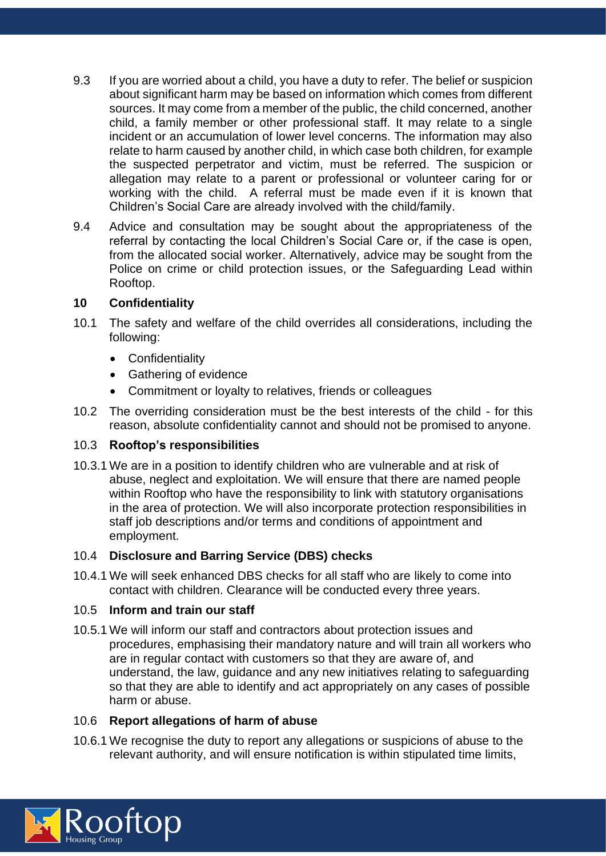- 9.3 If you are worried about a child, you have a duty to refer. The belief or suspicion about significant harm may be based on information which comes from different sources. It may come from a member of the public, the child concerned, another child, a family member or other professional staff. It may relate to a single incident or an accumulation of lower level concerns. The information may also relate to harm caused by another child, in which case both children, for example the suspected perpetrator and victim, must be referred. The suspicion or allegation may relate to a parent or professional or volunteer caring for or working with the child. A referral must be made even if it is known that Children's Social Care are already involved with the child/family.
- 9.4 Advice and consultation may be sought about the appropriateness of the referral by contacting the local Children's Social Care or, if the case is open, from the allocated social worker. Alternatively, advice may be sought from the Police on crime or child protection issues, or the Safeguarding Lead within Rooftop.

## **10 Confidentiality**

- 10.1 The safety and welfare of the child overrides all considerations, including the following:
	- Confidentiality
	- Gathering of evidence
	- Commitment or loyalty to relatives, friends or colleagues
- 10.2 The overriding consideration must be the best interests of the child for this reason, absolute confidentiality cannot and should not be promised to anyone.

## 10.3 **Rooftop's responsibilities**

10.3.1 We are in a position to identify children who are vulnerable and at risk of abuse, neglect and exploitation. We will ensure that there are named people within Rooftop who have the responsibility to link with statutory organisations in the area of protection. We will also incorporate protection responsibilities in staff job descriptions and/or terms and conditions of appointment and employment.

## 10.4 **Disclosure and Barring Service (DBS) checks**

10.4.1 We will seek enhanced DBS checks for all staff who are likely to come into contact with children. Clearance will be conducted every three years.

#### 10.5 **Inform and train our staff**

10.5.1 We will inform our staff and contractors about protection issues and procedures, emphasising their mandatory nature and will train all workers who are in regular contact with customers so that they are aware of, and understand, the law, guidance and any new initiatives relating to safeguarding so that they are able to identify and act appropriately on any cases of possible harm or abuse.

#### 10.6 **Report allegations of harm of abuse**

10.6.1 We recognise the duty to report any allegations or suspicions of abuse to the relevant authority, and will ensure notification is within stipulated time limits,

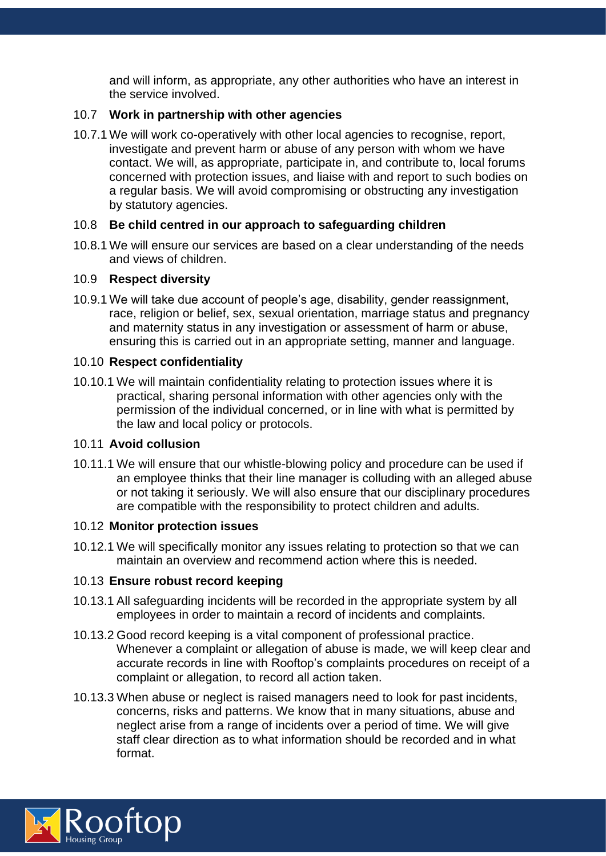and will inform, as appropriate, any other authorities who have an interest in the service involved.

# 10.7 **Work in partnership with other agencies**

10.7.1 We will work co-operatively with other local agencies to recognise, report, investigate and prevent harm or abuse of any person with whom we have contact. We will, as appropriate, participate in, and contribute to, local forums concerned with protection issues, and liaise with and report to such bodies on a regular basis. We will avoid compromising or obstructing any investigation by statutory agencies.

# 10.8 **Be child centred in our approach to safeguarding children**

10.8.1 We will ensure our services are based on a clear understanding of the needs and views of children.

## 10.9 **Respect diversity**

10.9.1 We will take due account of people's age, disability, gender reassignment, race, religion or belief, sex, sexual orientation, marriage status and pregnancy and maternity status in any investigation or assessment of harm or abuse, ensuring this is carried out in an appropriate setting, manner and language.

## 10.10 **Respect confidentiality**

10.10.1 We will maintain confidentiality relating to protection issues where it is practical, sharing personal information with other agencies only with the permission of the individual concerned, or in line with what is permitted by the law and local policy or protocols.

## 10.11 **Avoid collusion**

10.11.1 We will ensure that our whistle-blowing policy and procedure can be used if an employee thinks that their line manager is colluding with an alleged abuse or not taking it seriously. We will also ensure that our disciplinary procedures are compatible with the responsibility to protect children and adults.

## 10.12 **Monitor protection issues**

10.12.1 We will specifically monitor any issues relating to protection so that we can maintain an overview and recommend action where this is needed.

## 10.13 **Ensure robust record keeping**

- 10.13.1 All safeguarding incidents will be recorded in the appropriate system by all employees in order to maintain a record of incidents and complaints.
- 10.13.2 Good record keeping is a vital component of professional practice. Whenever a complaint or allegation of abuse is made, we will keep clear and accurate records in line with Rooftop's complaints procedures on receipt of a complaint or allegation, to record all action taken.
- 10.13.3 When abuse or neglect is raised managers need to look for past incidents, concerns, risks and patterns. We know that in many situations, abuse and neglect arise from a range of incidents over a period of time. We will give staff clear direction as to what information should be recorded and in what format.

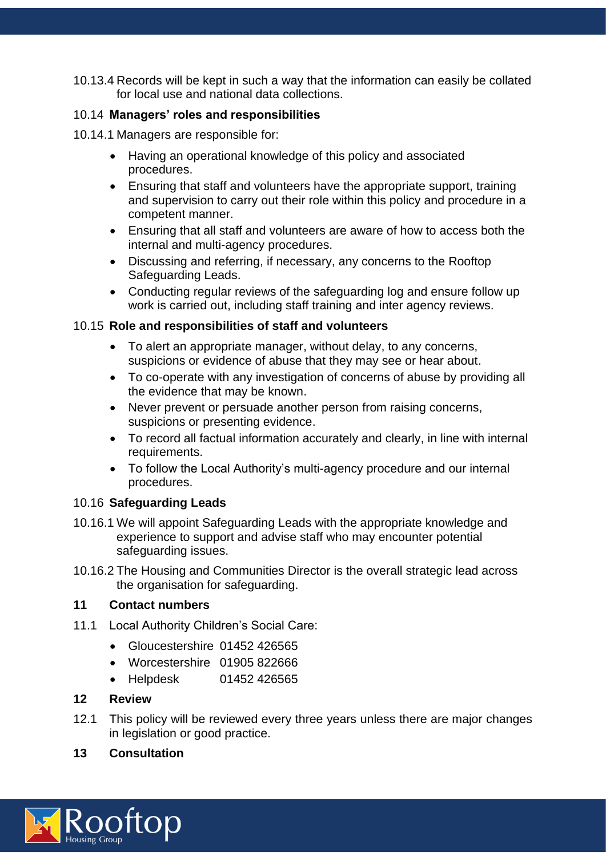10.13.4 Records will be kept in such a way that the information can easily be collated for local use and national data collections.

# 10.14 **Managers' roles and responsibilities**

- 10.14.1 Managers are responsible for:
	- Having an operational knowledge of this policy and associated procedures.
	- Ensuring that staff and volunteers have the appropriate support, training and supervision to carry out their role within this policy and procedure in a competent manner.
	- Ensuring that all staff and volunteers are aware of how to access both the internal and multi-agency procedures.
	- Discussing and referring, if necessary, any concerns to the Rooftop Safeguarding Leads.
	- Conducting regular reviews of the safeguarding log and ensure follow up work is carried out, including staff training and inter agency reviews.

# 10.15 **Role and responsibilities of staff and volunteers**

- To alert an appropriate manager, without delay, to any concerns, suspicions or evidence of abuse that they may see or hear about.
- To co-operate with any investigation of concerns of abuse by providing all the evidence that may be known.
- Never prevent or persuade another person from raising concerns, suspicions or presenting evidence.
- To record all factual information accurately and clearly, in line with internal requirements.
- To follow the Local Authority's multi-agency procedure and our internal procedures.

# 10.16 **Safeguarding Leads**

- 10.16.1 We will appoint Safeguarding Leads with the appropriate knowledge and experience to support and advise staff who may encounter potential safeguarding issues.
- 10.16.2 The Housing and Communities Director is the overall strategic lead across the organisation for safeguarding.

# **11 Contact numbers**

- 11.1 Local Authority Children's Social Care:
	- Gloucestershire 01452 426565
	- Worcestershire 01905 822666
	- Helpdesk 01452 426565

## **12 Review**

- 12.1 This policy will be reviewed every three years unless there are major changes in legislation or good practice.
- **13 Consultation**

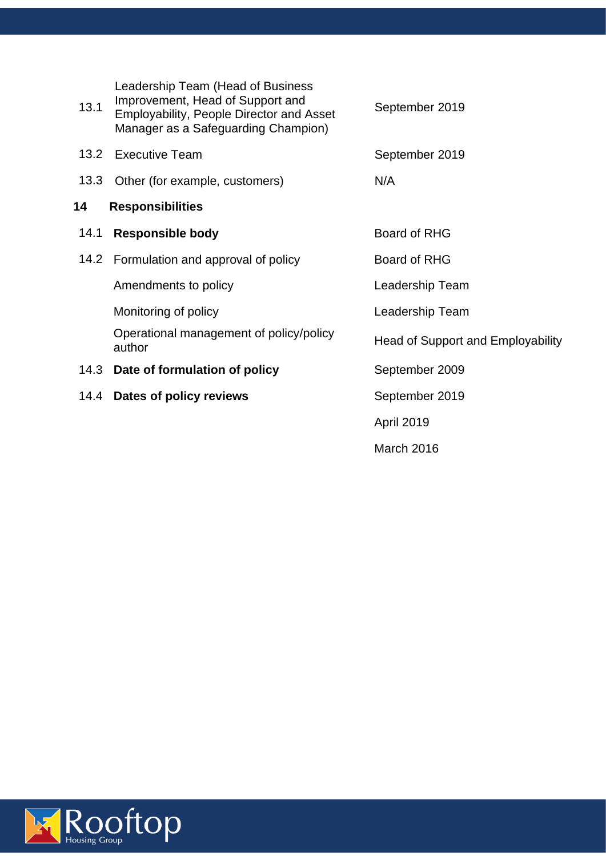| 13.1 | Leadership Team (Head of Business<br>Improvement, Head of Support and<br>Employability, People Director and Asset<br>Manager as a Safeguarding Champion) | September 2019                           |
|------|----------------------------------------------------------------------------------------------------------------------------------------------------------|------------------------------------------|
| 13.2 | <b>Executive Team</b>                                                                                                                                    | September 2019                           |
| 13.3 | Other (for example, customers)                                                                                                                           | N/A                                      |
| 14   | <b>Responsibilities</b>                                                                                                                                  |                                          |
| 14.1 | <b>Responsible body</b>                                                                                                                                  | <b>Board of RHG</b>                      |
|      | 14.2 Formulation and approval of policy                                                                                                                  | Board of RHG                             |
|      | Amendments to policy                                                                                                                                     | Leadership Team                          |
|      | Monitoring of policy                                                                                                                                     | Leadership Team                          |
|      | Operational management of policy/policy<br>author                                                                                                        | <b>Head of Support and Employability</b> |
|      | 14.3 Date of formulation of policy                                                                                                                       | September 2009                           |
|      | 14.4 Dates of policy reviews                                                                                                                             | September 2019                           |
|      |                                                                                                                                                          | <b>April 2019</b>                        |
|      |                                                                                                                                                          | March 2016                               |